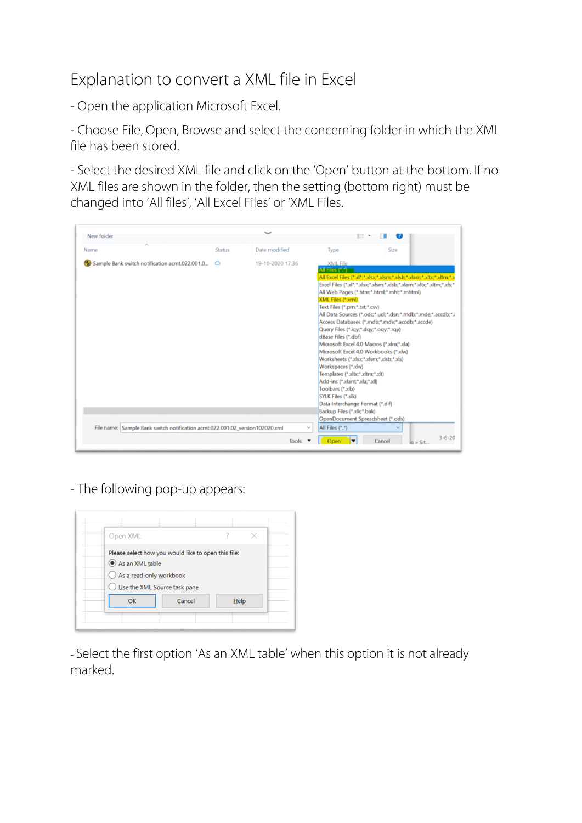## Explanation to convert a XML file in Excel

- Open the application Microsoft Excel.

- Choose File, Open, Browse and select the concerning folder in which the XML file has been stored.

- Select the desired XML file and click on the 'Open' button at the bottom. If no XML files are shown in the folder, then the setting (bottom right) must be changed into 'All files', 'All Excel Files' or 'XML Files.

| New folder                                                                   |               |                  |              | 第三三                                                                                                                                                                                                                                                                                                                                                                        |                                                                                                                                                                                                                                                                                                                                                                                                 |                                  |
|------------------------------------------------------------------------------|---------------|------------------|--------------|----------------------------------------------------------------------------------------------------------------------------------------------------------------------------------------------------------------------------------------------------------------------------------------------------------------------------------------------------------------------------|-------------------------------------------------------------------------------------------------------------------------------------------------------------------------------------------------------------------------------------------------------------------------------------------------------------------------------------------------------------------------------------------------|----------------------------------|
| Name                                                                         | <b>Status</b> | Date modified    |              | Type                                                                                                                                                                                                                                                                                                                                                                       | Size                                                                                                                                                                                                                                                                                                                                                                                            |                                  |
| Sample Bank switch notification acmt.022.001.0                               | $\circ$       | 19-10-2020 17:36 |              | <b>XML File</b><br>All Files (*.*)<br>XML Files (*.xml)<br>Text Files (*.prn;*.txt;*.csv)<br>Query Files (*.iqy;*.dqy;*.oqy;*.rqy)<br>dBase Files (*.dbf)<br>Worksheets (*.xlsx;*.xlsm;*.xlsb;*.xls)<br>Workspaces (*.xlw)<br>Templates (*.xltx;*.xltm;*.xlt)<br>Add-ins (*.xlam;*.xla;*.xll)<br>Toolbars (*.xlb)<br>SYLK Files (*.slk)<br>Data Interchange Format (*.dif) | All Excel Files (*.xl*;*.xlsx;*.xlsm;*.xlsb;*.xlam;*.xlbc*.xltm;*.x<br>Excel Files (*.xl*;*.xlsx;*.xlsm;*.xlsb;*.xlam;*.xltx;*.xltm;*.xls;*<br>All Web Pages (*.htm;*.html;*.mht;*.mhtml)<br>All Data Sources (*.odc;*.udl;*.dsn;*.mdb;*.mde;*.accdb;*.i<br>Access Databases (*.mdb;*.mde;*.accdb;*.accde)<br>Microsoft Excel 4.0 Macros (*.xlm;*.xla)<br>Microsoft Excel 4.0 Workbooks (*.xlw) |                                  |
|                                                                              |               |                  |              | Backup Files (*.xlk;*.bak)                                                                                                                                                                                                                                                                                                                                                 | OpenDocument Spreadsheet (*.ods)                                                                                                                                                                                                                                                                                                                                                                |                                  |
| File name: Sample Bank switch notification acmt.022.001.02_version102020.xml |               |                  | $\checkmark$ | All Files (*.*)                                                                                                                                                                                                                                                                                                                                                            | $\checkmark$                                                                                                                                                                                                                                                                                                                                                                                    |                                  |
|                                                                              |               |                  | Tools        |                                                                                                                                                                                                                                                                                                                                                                            | Cancel                                                                                                                                                                                                                                                                                                                                                                                          | $3 - 6 - 20$<br>$a = \text{Si}t$ |

- The following pop-up appears:



- Select the first option 'As an XML table' when this option it is not already marked.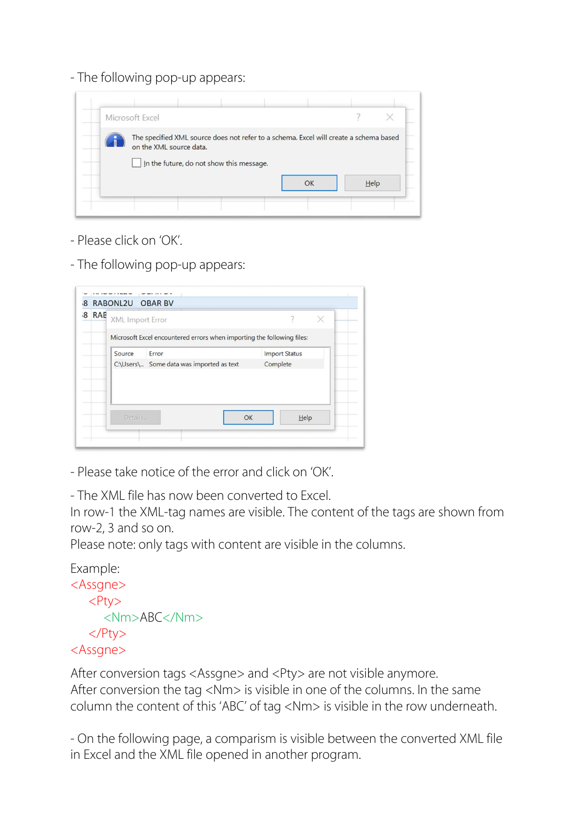- The following pop-up appears:



- Please click on 'OK'.
- The following pop-up appears:

| 8 RAB | XML Import Error |                                                                        |                      |  |  |
|-------|------------------|------------------------------------------------------------------------|----------------------|--|--|
|       |                  | Microsoft Excel encountered errors when importing the following files: |                      |  |  |
|       | Source           | Error                                                                  | <b>Import Status</b> |  |  |
|       |                  | C:\Users\ Some data was imported as text                               | Complete             |  |  |
|       |                  |                                                                        |                      |  |  |
|       | Details          | OK                                                                     | Help                 |  |  |

- Please take notice of the error and click on 'OK'.

- The XML file has now been converted to Excel.

In row-1 the XML-tag names are visible. The content of the tags are shown from row-2, 3 and so on.

Please note: only tags with content are visible in the columns.

```
Example: 
<Assgne>
  <Ptv>
      <Nm>ABC</Nm>
    </Pty>
<Assgne>
```
After conversion tags <Assgne> and <Pty> are not visible anymore. After conversion the tag <Nm> is visible in one of the columns. In the same column the content of this 'ABC' of tag <Nm> is visible in the row underneath.

- On the following page, a comparism is visible between the converted XML file in Excel and the XML file opened in another program.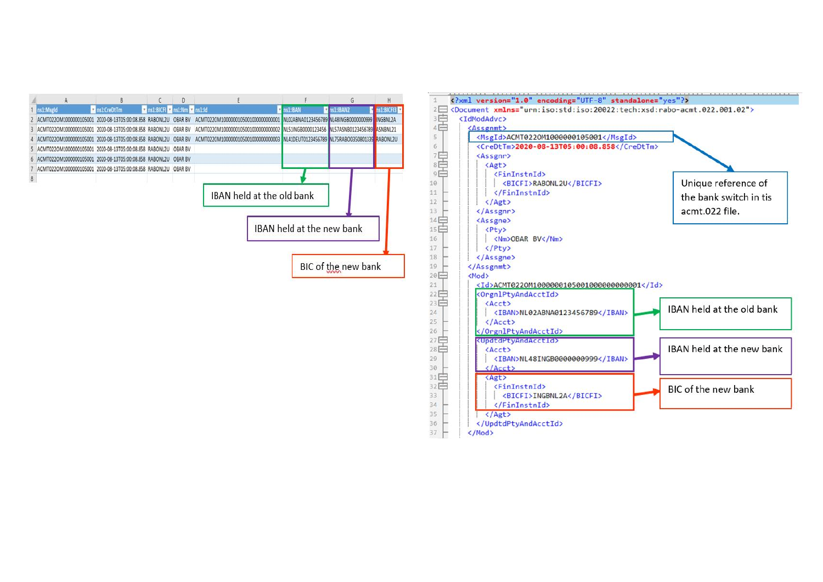